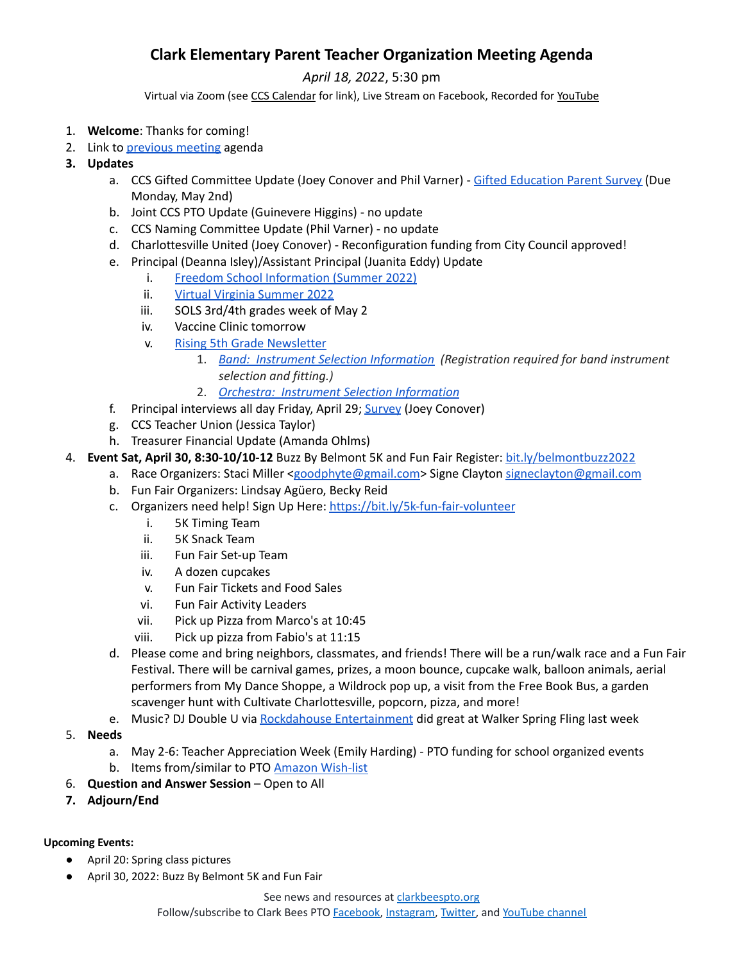## **Clark Elementary Parent Teacher Organization Meeting Agenda**

*April 18, 2022*, 5:30 pm

Virtual via Zoom (see CCS [Calendar](http://charlottesvilleschools.org/calendar/) for link), Live Stream on Facebook, Recorded for [YouTube](https://www.youtube.com/channel/UCYKgW2F4gHVYOJ-igHvrp9g/)

- 1. **Welcome**: Thanks for coming!
- 2. Link to [previous](https://www.clarkbeespto.org/_files/ugd/13a865_feab8272d5da44a2b9d8aeb7e8f24a90.pdf) meeting agenda
- **3. Updates**
	- a. CCS Gifted Committee Update (Joey Conover and Phil Varner) Gifted [Education](https://docs.google.com/forms/d/e/1FAIpQLScg9PSmBkR_A21gTVKzRMPr5V_Z-knfZ4KZynRBGadkZV_bpg/viewform?usp=sf_link) Parent Survey (Due Monday, May 2nd)
	- b. Joint CCS PTO Update (Guinevere Higgins) no update
	- c. CCS Naming Committee Update (Phil Varner) no update
	- d. Charlottesville United (Joey Conover) Reconfiguration funding from City Council approved!
	- e. Principal (Deanna Isley)/Assistant Principal (Juanita Eddy) Update
		- i. Freedom School [Information](https://drive.google.com/file/d/13ejNpUt8UMQUvEVvPLY-j7RuBmeEuUBd/view?usp=sharing) (Summer 2022)
			- ii. Virtual Virginia [Summer](https://www.virtualvirginia.org/summer/) 2022
		- iii. SOLS 3rd/4th grades week of May 2
		- iv. Vaccine Clinic tomorrow
		- v. Rising 5th Grade [Newsletter](https://docs.google.com/document/d/1qRQa1VohvbZob3o30htO8-RYk6o9K8PhxgMvyXiXpxI/edit)
			- 1. *Band: Instrument Selection [Information](http://track.spe.schoolmessenger.com/f/a/zfae2Kv58m0DdhvlYNariw~~/AAAAAQA~/RgRkPvf5P0RUaHR0cHM6Ly9kb2NzLmdvb2dsZS5jb20vZG9jdW1lbnQvZC8xenhVN2J5Nzg0OXl6MmRnbFdReHV1X1B5QmxRZWtvYkttSXJwNmtkc0RwWS9lZGl0VwdzY2hvb2xtQgpiXXnEXWKYsPlhUhVqb2V5Y29ub3ZlckBnbWFpbC5jb21YBAAAAAE~) (Registration required for band instrument selection and fitting.)*
			- 2. *Orchestra: Instrument Selection [Information](http://track.spe.schoolmessenger.com/f/a/gymwGO2yUGWqK3lOuaet7A~~/AAAAAQA~/RgRkPvf5P0RgaHR0cHM6Ly9kb2NzLmdvb2dsZS5jb20vZG9jdW1lbnQvZC8xRUNwMUJpampaUURaLXM3ZXVOVExsdmpYNTRuVUtKNlRvR2VodC1jblN1SS9lZGl0P3VzcD1zaGFyaW5nVwdzY2hvb2xtQgpiXXnEXWKYsPlhUhVqb2V5Y29ub3ZlckBnbWFpbC5jb21YBAAAAAE~)*
	- f. Principal interviews all day Friday, April 29; **[Survey](https://docs.google.com/forms/d/e/1FAIpQLSfMyFar7gu8vhuUOxetH3jkxCh67kSdv5i2h7H2n2K2HhJmOA/viewform) (Joey Conover)**
	- g. CCS Teacher Union (Jessica Taylor)
	- h. Treasurer Financial Update (Amanda Ohlms)
- 4. **Event Sat, April 30, 8:30-10/10-12** Buzz By Belmont 5K and Fun Fair Register: [bit.ly/belmontbuzz2022](http://bit.ly/belmontbuzz2022)
	- a. Race Organizers: Staci Miller [<goodphyte@gmail.com>](mailto:goodphyte@gmail.com) Signe Clayton [signeclayton@gmail.com](mailto:signeclayton@gmail.com)
		- b. Fun Fair Organizers: Lindsay Agüero, Becky Reid
		- c. Organizers need help! Sign Up Here: <https://bit.ly/5k-fun-fair-volunteer>
			- i. 5K Timing Team
			- ii. 5K Snack Team
			- iii. Fun Fair Set-up Team
			- iv. A dozen cupcakes
			- v. Fun Fair Tickets and Food Sales
			- vi. Fun Fair Activity Leaders
			- vii. Pick up Pizza from Marco's at 10:45
			- viii. Pick up pizza from Fabio's at 11:15
		- d. Please come and bring neighbors, classmates, and friends! There will be a run/walk race and a Fun Fair Festival. There will be carnival games, prizes, a moon bounce, cupcake walk, balloon animals, aerial performers from My Dance Shoppe, a Wildrock pop up, a visit from the Free Book Bus, a garden scavenger hunt with Cultivate Charlottesville, popcorn, pizza, and more!
		- e. Music? DJ Double U via Rockdahouse [Entertainment](https://www.djshaggi.net/) did great at Walker Spring Fling last week
- 5. **Needs**
	- a. May 2-6: Teacher Appreciation Week (Emily Harding) PTO funding for school organized events b. Items from/similar to PTO Amazon [Wish-list](https://a.co/7KR7Fm5)
- 6. **Question and Answer Session** Open to All
- **7. Adjourn/End**

## **Upcoming Events:**

- April 20: Spring class pictures
- April 30, 2022: Buzz By Belmont 5K and Fun Fair